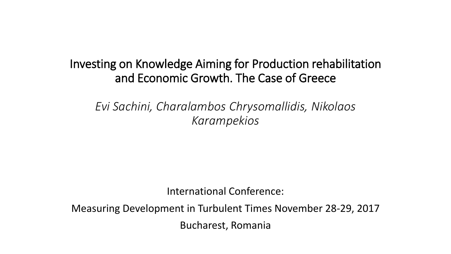Investing on Knowledge Aiming for Production rehabilitation and Economic Growth. The Case of Greece

*Evi Sachini, Charalambos Chrysomallidis, Nikolaos Karampekios*

International Conference:

Measuring Development in Turbulent Times November 28-29, 2017 Bucharest, Romania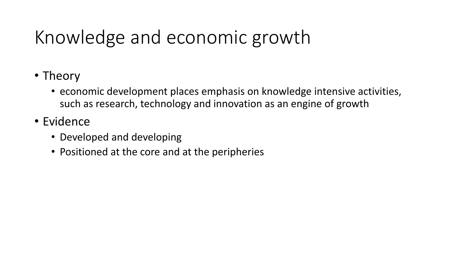# Knowledge and economic growth

- Theory
	- economic development places emphasis on knowledge intensive activities, such as research, technology and innovation as an engine of growth
- Evidence
	- Developed and developing
	- Positioned at the core and at the peripheries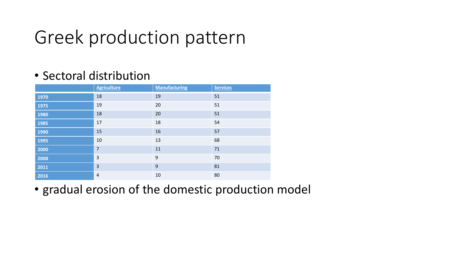#### Greek production pattern

#### • Sectoral distribution

|      | <b>Agriculture</b> | <b>Manufacturing</b> | <b>Services</b> |
|------|--------------------|----------------------|-----------------|
| 1970 | 18                 | 19                   | 51              |
| 1975 | 19                 | 20                   | 51              |
| 1980 | 18                 | 20                   | 51              |
| 1985 | 17                 | 18                   | 54              |
| 1990 | 15                 | 16                   | 57              |
| 1995 | 10                 | 13                   | 68              |
| 2000 | $\overline{7}$     | 11                   | 71              |
| 2008 | 3                  | 9                    | 70              |
| 2011 | $\overline{3}$     | 9                    | 81              |
| 2016 | $\overline{4}$     | 10                   | 80              |

• gradual erosion of the domestic production model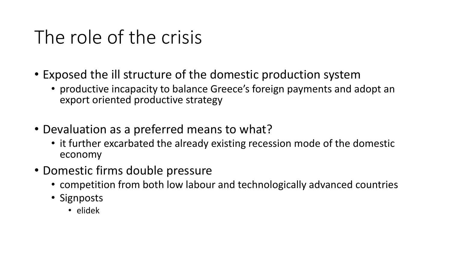## The role of the crisis

- Exposed the ill structure of the domestic production system
	- productive incapacity to balance Greece's foreign payments and adopt an export oriented productive strategy
- Devaluation as a preferred means to what?
	- it further excarbated the already existing recession mode of the domestic economy
- Domestic firms double pressure
	- competition from both low labour and technologically advanced countries
	- Signposts
		- elidek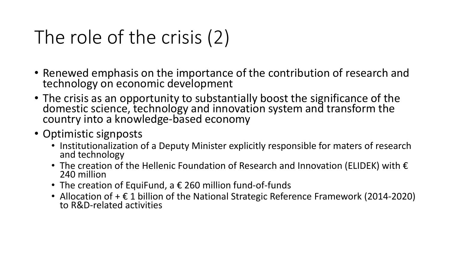# The role of the crisis (2)

- Renewed emphasis on the importance of the contribution of research and technology on economic development
- The crisis as an opportunity to substantially boost the significance of the domestic science, technology and innovation system and transform the country into a knowledge-based economy
- Optimistic signposts
	- Institutionalization of a Deputy Minister explicitly responsible for maters of research and technology
	- The creation of the Hellenic Foundation of Research and Innovation (ELIDEK) with  $\epsilon$ 240 million
	- The creation of EquiFund, a  $\epsilon$  260 million fund-of-funds
	- Allocation of  $+ \epsilon$  1 billion of the National Strategic Reference Framework (2014-2020) to R&D-related activities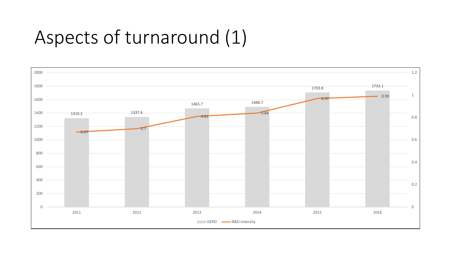# Aspects of turnaround (1)

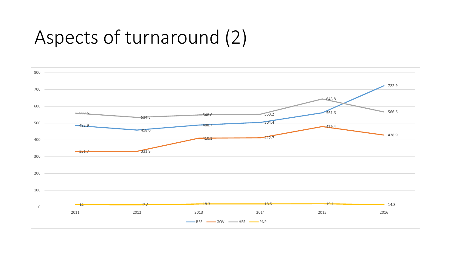## Aspects of turnaround (2)

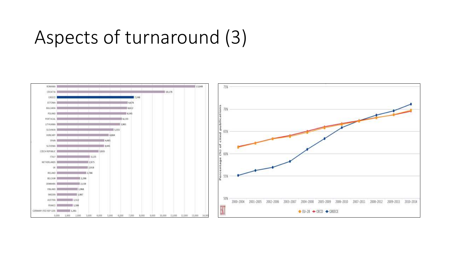#### Aspects of turnaround (3)

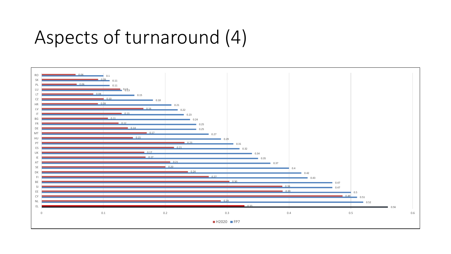#### Aspects of turnaround (4)

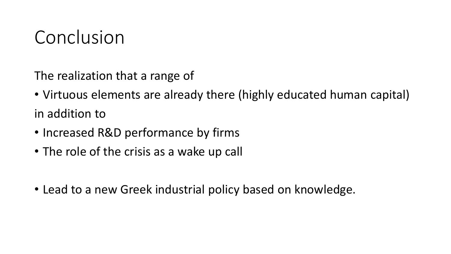#### Conclusion

The realization that a range of

- Virtuous elements are already there (highly educated human capital) in addition to
- Increased R&D performance by firms
- The role of the crisis as a wake up call
- Lead to a new Greek industrial policy based on knowledge.